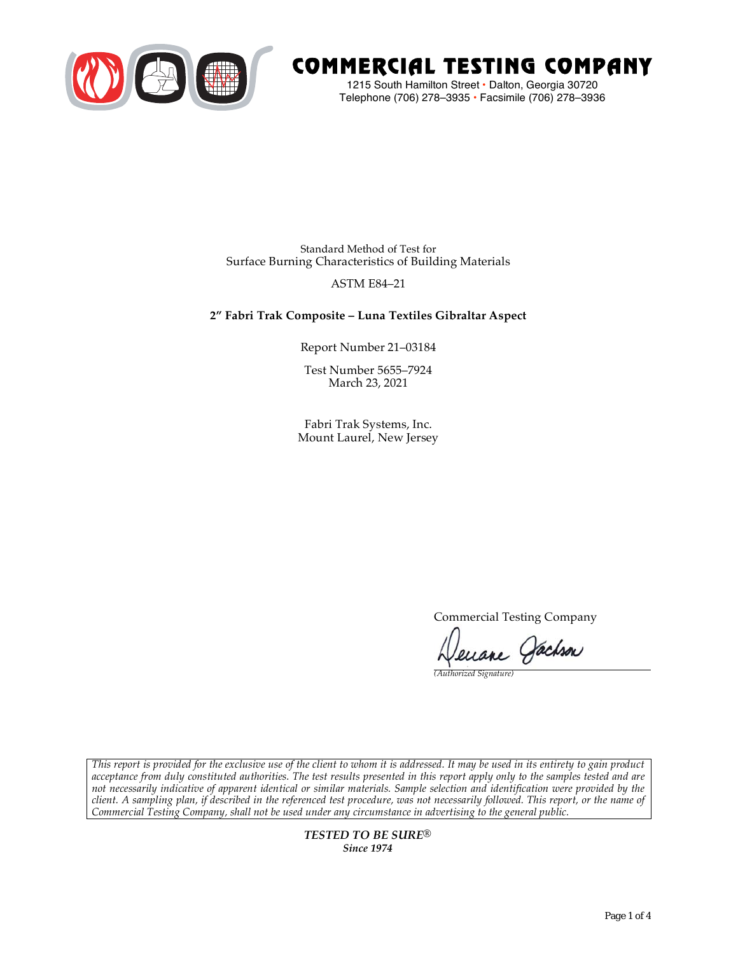

# COMMERCIAL TESTING COMPANY

1215 South Hamilton Street • Dalton, Georgia 30720 Telephone (706) 278–3935 **•** Facsimile (706) 278–3936

Standard Method of Test for Surface Burning Characteristics of Building Materials

# ASTM E84–21

# **2" Fabri Trak Composite – Luna Textiles Gibraltar Aspect**

Report Number 21–03184

Test Number 5655–7924 March 23, 2021

Fabri Trak Systems, Inc. Mount Laurel, New Jersey

Commercial Testing Company

Jenane Jachson

*(Authorized Signature)* 

*This report is provided for the exclusive use of the client to whom it is addressed. It may be used in its entirety to gain product acceptance from duly constituted authorities. The test results presented in this report apply only to the samples tested and are not necessarily indicative of apparent identical or similar materials. Sample selection and identification were provided by the client. A sampling plan, if described in the referenced test procedure, was not necessarily followed. This report, or the name of Commercial Testing Company, shall not be used under any circumstance in advertising to the general public.* 

> *TESTED TO BE SURE® Since 1974*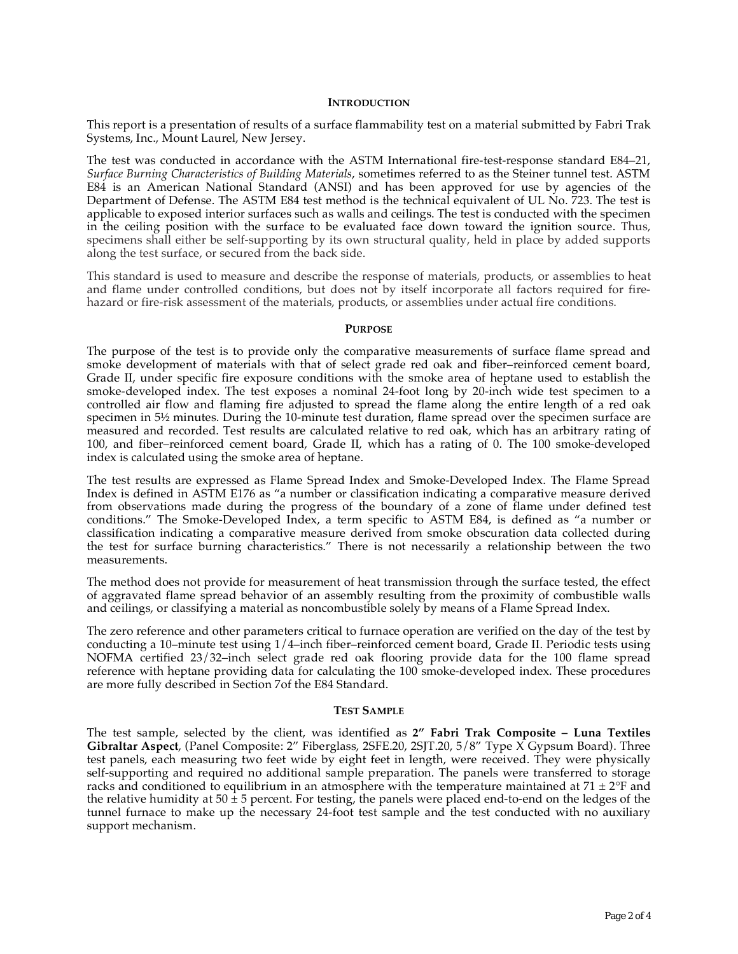## **INTRODUCTION**

This report is a presentation of results of a surface flammability test on a material submitted by Fabri Trak Systems, Inc., Mount Laurel, New Jersey.

The test was conducted in accordance with the ASTM International fire-test-response standard E84–21, *Surface Burning Characteristics of Building Materials*, sometimes referred to as the Steiner tunnel test. ASTM E84 is an American National Standard (ANSI) and has been approved for use by agencies of the Department of Defense. The ASTM E84 test method is the technical equivalent of UL No. 723. The test is applicable to exposed interior surfaces such as walls and ceilings. The test is conducted with the specimen in the ceiling position with the surface to be evaluated face down toward the ignition source. Thus, specimens shall either be self-supporting by its own structural quality, held in place by added supports along the test surface, or secured from the back side.

This standard is used to measure and describe the response of materials, products, or assemblies to heat and flame under controlled conditions, but does not by itself incorporate all factors required for firehazard or fire-risk assessment of the materials, products, or assemblies under actual fire conditions.

#### **PURPOSE**

The purpose of the test is to provide only the comparative measurements of surface flame spread and smoke development of materials with that of select grade red oak and fiber–reinforced cement board, Grade II, under specific fire exposure conditions with the smoke area of heptane used to establish the smoke-developed index. The test exposes a nominal 24-foot long by 20-inch wide test specimen to a controlled air flow and flaming fire adjusted to spread the flame along the entire length of a red oak specimen in  $5\frac{1}{2}$  minutes. During the 10-minute test duration, flame spread over the specimen surface are measured and recorded. Test results are calculated relative to red oak, which has an arbitrary rating of 100, and fiber–reinforced cement board, Grade II, which has a rating of 0. The 100 smoke-developed index is calculated using the smoke area of heptane.

The test results are expressed as Flame Spread Index and Smoke-Developed Index. The Flame Spread Index is defined in ASTM E176 as "a number or classification indicating a comparative measure derived from observations made during the progress of the boundary of a zone of flame under defined test conditions." The Smoke-Developed Index, a term specific to ASTM E84, is defined as "a number or classification indicating a comparative measure derived from smoke obscuration data collected during the test for surface burning characteristics." There is not necessarily a relationship between the two measurements.

The method does not provide for measurement of heat transmission through the surface tested, the effect of aggravated flame spread behavior of an assembly resulting from the proximity of combustible walls and ceilings, or classifying a material as noncombustible solely by means of a Flame Spread Index.

The zero reference and other parameters critical to furnace operation are verified on the day of the test by conducting a 10–minute test using 1/4–inch fiber–reinforced cement board, Grade II. Periodic tests using NOFMA certified 23/32–inch select grade red oak flooring provide data for the 100 flame spread reference with heptane providing data for calculating the 100 smoke-developed index. These procedures are more fully described in Section 7of the E84 Standard.

#### **TEST SAMPLE**

The test sample, selected by the client, was identified as **2" Fabri Trak Composite – Luna Textiles Gibraltar Aspect**, (Panel Composite: 2" Fiberglass, 2SFE.20, 2SJT.20, 5/8" Type X Gypsum Board). Three test panels, each measuring two feet wide by eight feet in length, were received. They were physically self-supporting and required no additional sample preparation. The panels were transferred to storage racks and conditioned to equilibrium in an atmosphere with the temperature maintained at  $71 \pm 2$ °F and the relative humidity at  $50 \pm 5$  percent. For testing, the panels were placed end-to-end on the ledges of the tunnel furnace to make up the necessary 24-foot test sample and the test conducted with no auxiliary support mechanism.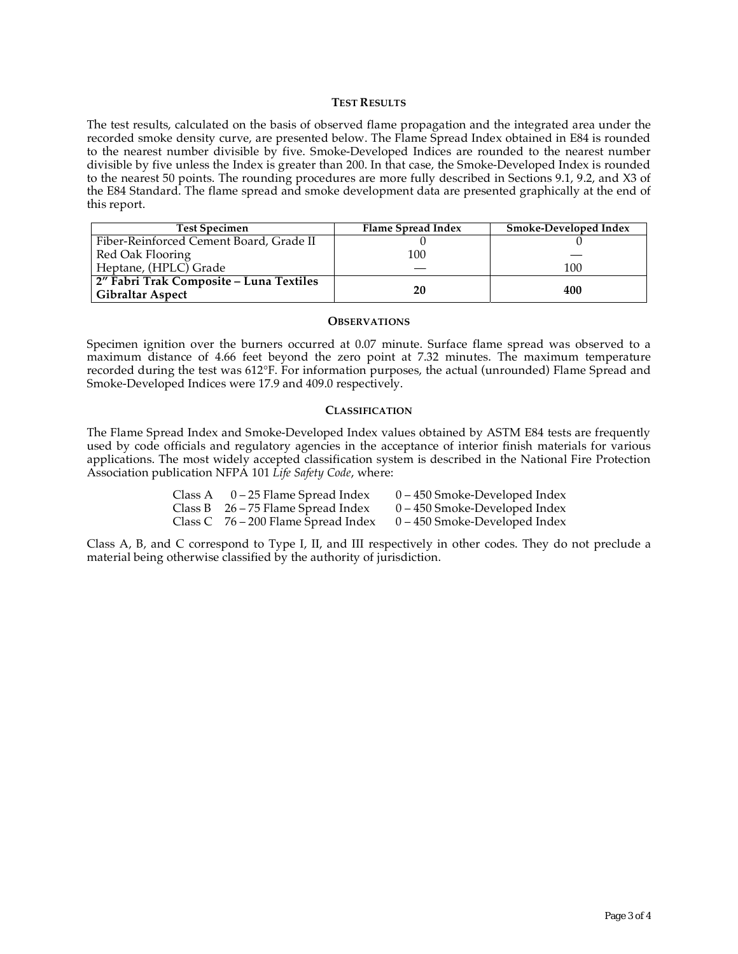## **TEST RESULTS**

The test results, calculated on the basis of observed flame propagation and the integrated area under the recorded smoke density curve, are presented below. The Flame Spread Index obtained in E84 is rounded to the nearest number divisible by five. Smoke-Developed Indices are rounded to the nearest number divisible by five unless the Index is greater than 200. In that case, the Smoke-Developed Index is rounded to the nearest 50 points. The rounding procedures are more fully described in Sections 9.1, 9.2, and X3 of the E84 Standard. The flame spread and smoke development data are presented graphically at the end of this report.

| <b>Test Specimen</b>                                               | Flame Spread Index | <b>Smoke-Developed Index</b> |
|--------------------------------------------------------------------|--------------------|------------------------------|
| Fiber-Reinforced Cement Board, Grade II                            |                    |                              |
| Red Oak Flooring                                                   | 100                |                              |
| Heptane, (HPLC) Grade                                              |                    | 100                          |
| 2" Fabri Trak Composite - Luna Textiles<br><b>Gibraltar Aspect</b> | 20                 | 400                          |

## **OBSERVATIONS**

Specimen ignition over the burners occurred at 0.07 minute. Surface flame spread was observed to a maximum distance of 4.66 feet beyond the zero point at 7.32 minutes. The maximum temperature recorded during the test was 612°F. For information purposes, the actual (unrounded) Flame Spread and Smoke-Developed Indices were 17.9 and 409.0 respectively.

## **CLASSIFICATION**

The Flame Spread Index and Smoke-Developed Index values obtained by ASTM E84 tests are frequently used by code officials and regulatory agencies in the acceptance of interior finish materials for various applications. The most widely accepted classification system is described in the National Fire Protection Association publication NFPA 101 *Life Safety Code*, where:

| Class A | 0 – 25 Flame Spread Index             | 0 – 450 Smoke-Developed Index   |
|---------|---------------------------------------|---------------------------------|
|         | Class B $26 - 75$ Flame Spread Index  | $0 - 450$ Smoke-Developed Index |
|         | Class C $76 - 200$ Flame Spread Index | 0 – 450 Smoke-Developed Index   |

Class A, B, and C correspond to Type I, II, and III respectively in other codes. They do not preclude a material being otherwise classified by the authority of jurisdiction.